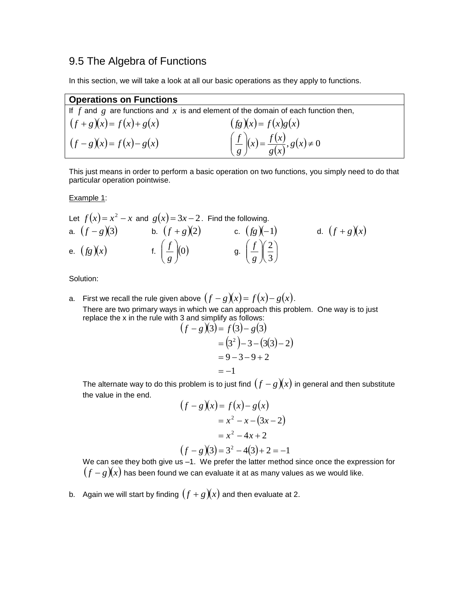# 9.5 The Algebra of Functions

In this section, we will take a look at all our basic operations as they apply to functions.

### **Operations on Functions**

|                            | If f and g are functions and x is and element of the domain of each function then, |
|----------------------------|------------------------------------------------------------------------------------|
| $(f+g)(x) = f(x)+g(x)$     | $(fg)(x) = f(x)g(x)$                                                               |
| $(f - g)(x) = f(x) - g(x)$ | $\left(\frac{f}{g}\right)(x) = \frac{f(x)}{g(x)}, g(x) \neq 0$                     |

This just means in order to perform a basic operation on two functions, you simply need to do that particular operation pointwise.

Example 1:

Let 
$$
f(x) = x^2 - x
$$
 and  $g(x) = 3x - 2$ . Find the following.  
\na.  $(f - g)(3)$  b.  $(f + g)(2)$  c.  $(fg)(-1)$  d.  $(f + g)(x)$   
\ne.  $(fg)(x)$  f.  $\left(\frac{f}{g}\right)(0)$  g.  $\left(\frac{f}{g}\right)\left(\frac{2}{3}\right)$ 

Solution:

a. First we recall the rule given above  $(f-g)(x) = f(x) - g(x)$ . There are two primary ways in which we can approach this problem. One way is to just replace the x in the rule with 3 and simplify as follows:

$$
(f-g)(3) = f(3) - g(3)
$$
  
= (3<sup>2</sup>) - 3 - (3(3) - 2)  
= 9 - 3 - 9 + 2  
= -1

The alternate way to do this problem is to just find  $(f-g)(x)$  in general and then substitute the value in the end.

$$
(f-g)(x) = f(x) - g(x)
$$
  
= x<sup>2</sup> - x - (3x - 2)  
= x<sup>2</sup> - 4x + 2  
(f-g)(3) = 3<sup>2</sup> - 4(3) + 2 = -1

We can see they both give us –1. We prefer the latter method since once the expression for  $(f-g)(\!)$  has been found we can evaluate it at as many values as we would like.

b. Again we will start by finding  $(f+g)(x)$  and then evaluate at 2.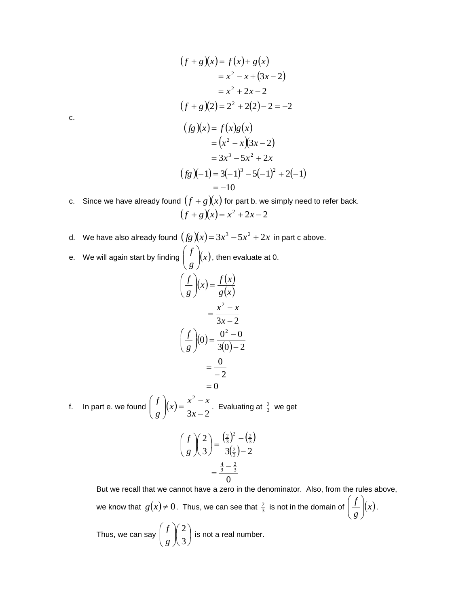$$
(f+g)(x) = f(x)+g(x)
$$
  
= x<sup>2</sup> - x + (3x-2)  
= x<sup>2</sup> + 2x-2  
(f+g)(2) = 2<sup>2</sup> + 2(2) - 2 = -2  
(fg)(x) = f(x)g(x)  
= (x<sup>2</sup> - x)(3x-2)  
= 3x<sup>3</sup> - 5x<sup>2</sup> + 2x  
(fg)(-1) = 3(-1)<sup>3</sup> - 5(-1)<sup>2</sup> + 2(-1)  
= -10

c. Since we have already found  $(f+g)(x)$  for part b. we simply need to refer back.  $(f+g)(x) = x^2 + 2x - 2$ 

- d. We have also already found  $(fg)(x)$   $=$   $3x^3$   $5x^2$   $+$   $2x\,$  in part c above. *f*  $\setminus$
- e. We will again start by finding  $\frac{1}{2}$   $\frac{1}{2}(x)$ *g*  $\overline{\phantom{a}}$  $\bigg)$  $\overline{\phantom{a}}$  $\setminus$  $\int_0^1 \frac{f}{f(x)} f(x)$ , then evaluate at 0.  $f(x) = \frac{f(x)}{x}$  $\int (x) = \frac{f(x)}{g(x)}$ 2 J  $\backslash$  $\overline{\phantom{a}}$  $\setminus$ ſ *g x*  $f(x) = \frac{f(x)}{f(x)}$ *g f*

$$
= \frac{x^2 - x}{3x - 2}
$$

$$
\left(\frac{f}{g}\right)(0) = \frac{0^2 - 0}{3(0) - 2}
$$

$$
= \frac{0}{-2}
$$

$$
= 0
$$

f. In part e. we found  $\frac{J}{J}(x)$  $3x - 2$ 2  $\overline{a}$  $(x) = \frac{x^2 - x^2}{3x - x}$ J  $\setminus$  $\overline{\phantom{a}}$  $\setminus$ ſ *x*  $f(x) = \frac{x^2 - x}{2}$ *g*  $\int_{0}^{x} (x) dx = \frac{x^2 - x}{2x - 2}$ . Evaluating at  $\frac{2}{3}$  we get

$$
\left(\frac{f}{g}\right)\left(\frac{2}{3}\right) = \frac{\left(\frac{2}{3}\right)^2 - \left(\frac{2}{3}\right)}{3\left(\frac{2}{3}\right) - 2} = \frac{\frac{4}{9} - \frac{2}{3}}{0}
$$

But we recall that we cannot have a zero in the denominator. Also, from the rules above,

we know that  $g(x) \neq 0$ . Thus, we can see that  $\frac{2}{3}$  is not in the domain of  $\frac{1}{2}$   $\binom{x}{3}$ *g f*  $\overline{\phantom{a}}$  $\bigg)$  $\setminus$  $\overline{\phantom{a}}$  $\setminus$  $\left(\frac{f}{x}\right)_{x}$ .

Thus, we can say  $\vert \frac{J}{2} \vert \frac{2}{3} \vert$ J  $\left(\frac{2}{2}\right)$  $\setminus$ ſ  $\overline{\phantom{a}}$ J  $\setminus$  $\overline{\phantom{a}}$  $\setminus$ ſ 3 2 *g*  $\int_0^f \left( \frac{2}{\epsilon} \right)$  is not a real number.

c.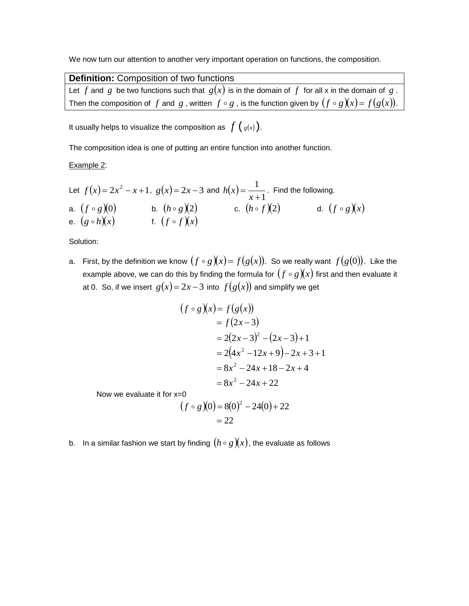We now turn our attention to another very important operation on functions, the composition.

| Definition: Composition of two functions                                                                     |  |
|--------------------------------------------------------------------------------------------------------------|--|
| Let f and g be two functions such that $g(x)$ is in the domain of f for all x in the domain of g.            |  |
| Then the composition of f and g, written $f \circ g$ , is the function given by $(f \circ g)(x) = f(g(x))$ . |  |

It usually helps to visualize the composition as  $\ f\left(\begin{smallmatrix}g(x)\end{smallmatrix}\right)$ .

The composition idea is one of putting an entire function into another function.

#### Example 2:

Let 
$$
f(x) = 2x^2 - x + 1
$$
,  $g(x) = 2x - 3$  and  $h(x) = \frac{1}{x+1}$ . Find the following.  
\na.  $(f \circ g)(0)$   
\nb.  $(h \circ g)(2)$   
\nc.  $(h \circ f)(2)$   
\nd.  $(f \circ g)(x)$   
\ne.  $(g \circ h)(x)$   
\nf.  $(f \circ f)(x)$ 

#### Solution:

a. First, by the definition we know  $(f \circ g)(x) = f(g(x))$ . So we really want  $f(g(0))$ . Like the example above, we can do this by finding the formula for  $(f \circ g)(\!\!\!\chi)$  first and then evaluate it at 0. So, if we insert  $g(x)$  =  $2x$  –  $3$  into  $f(g(x))$  and simplify we get

$$
(f \circ g)(x) = f(g(x))
$$
  
= f(2x-3)  
= 2(2x-3)<sup>2</sup> - (2x-3)+1  
= 2(4x<sup>2</sup> - 12x+9)-2x+3+1  
= 8x<sup>2</sup> - 24x+18-2x+4  
= 8x<sup>2</sup> - 24x+22

Now we evaluate it for x=0

$$
(f \circ g)(0) = 8(0)^{2} - 24(0) + 22
$$
  
= 22

b.  $\;$  In a similar fashion we start by finding  $(h\circ g)(\!x))$ , the evaluate as follows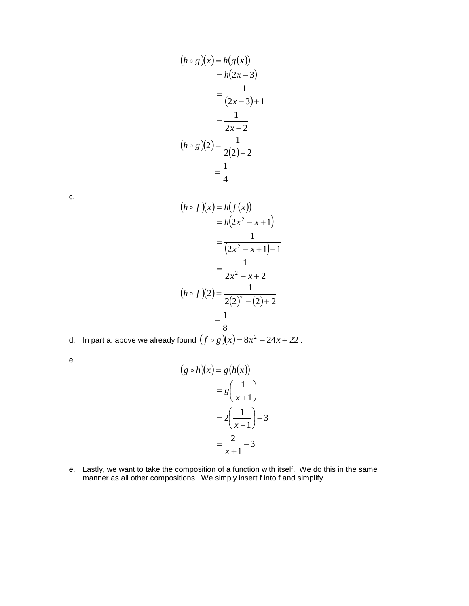$$
(h \circ g)(x) = h(g(x))
$$
  

$$
= h(2x - 3)
$$
  

$$
= \frac{1}{(2x - 3) + 1}
$$
  

$$
= \frac{1}{2x - 2}
$$
  

$$
(h \circ g)(2) = \frac{1}{2(2) - 2}
$$
  

$$
= \frac{1}{4}
$$

c.

$$
(h \circ f)(x) = h(f(x))
$$
  
= h(2x<sup>2</sup> - x + 1)  
= 
$$
\frac{1}{(2x^2 - x + 1) + 1}
$$
  
= 
$$
\frac{1}{2x^2 - x + 2}
$$
  

$$
(h \circ f)(2) = \frac{1}{2(2)^2 - (2) + 2}
$$
  
= 
$$
\frac{1}{8}
$$

d. In part a. above we already found  $(f \circ g)(x)$  =  $8x^2 - 24x + 22$  .

e.

$$
(g \circ h)(x) = g(h(x))
$$

$$
= g\left(\frac{1}{x+1}\right)
$$

$$
= 2\left(\frac{1}{x+1}\right) - 3
$$

$$
= \frac{2}{x+1} - 3
$$

e. Lastly, we want to take the composition of a function with itself. We do this in the same manner as all other compositions. We simply insert f into f and simplify.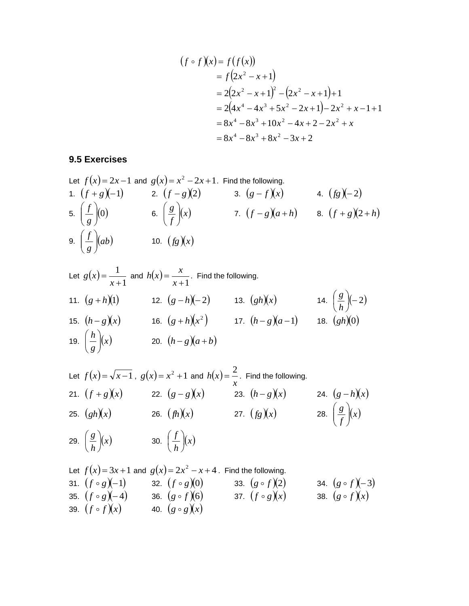$$
(f \circ f)(x) = f(f(x))
$$
  
=  $f(2x^2 - x + 1)$   
=  $2(2x^2 - x + 1)^2 - (2x^2 - x + 1) + 1$   
=  $2(4x^4 - 4x^3 + 5x^2 - 2x + 1) - 2x^2 + x - 1 + 1$   
=  $8x^4 - 8x^3 + 10x^2 - 4x + 2 - 2x^2 + x$   
=  $8x^4 - 8x^3 + 8x^2 - 3x + 2$ 

# **9.5 Exercises**

Let 
$$
f(x) = 2x - 1
$$
 and  $g(x) = x^2 - 2x + 1$ . Find the following.  
\n1.  $(f + g)(-1)$  2.  $(f - g)(2)$  3.  $(g - f)(x)$  4.  $(fg)(-2)$   
\n5.  $\left(\frac{f}{g}\right)(0)$  6.  $\left(\frac{g}{f}\right)(x)$  7.  $(f - g)(a + h)$  8.  $(f + g)(2 + h)$   
\n9.  $\left(\frac{f}{g}\right)(ab)$  10.  $(fg)(x)$ 

Let 
$$
g(x) = \frac{1}{x+1}
$$
 and  $h(x) = \frac{x}{x+1}$ . Find the following.  
\n11.  $(g+h)(1)$   
\n12.  $(g-h)(-2)$   
\n13.  $(gh)(x)$   
\n14.  $\left(\frac{g}{h}\right)(-2)$   
\n15.  $(h-g)(x)$   
\n16.  $(g+h)(x^2)$   
\n17.  $(h-g)(a-1)$   
\n18.  $(gh)(0)$   
\n19.  $\left(\frac{h}{g}\right)(x)$   
\n20.  $(h-g)(a+b)$ 

Let 
$$
f(x) = \sqrt{x-1}
$$
,  $g(x) = x^2 + 1$  and  $h(x) = \frac{2}{x}$ . Find the following.  
\n21.  $(f+g)(x)$  22.  $(g-g)(x)$  23.  $(h-g)(x)$  24.  $(g-h)(x)$   
\n25.  $(gh)(x)$  26.  $(fh)(x)$  27.  $(fg)(x)$  28.  $\left(\frac{g}{f}\right)(x)$   
\n29.  $\left(\frac{g}{h}\right)(x)$  30.  $\left(\frac{f}{h}\right)(x)$ 

Let 
$$
f(x) = 3x + 1
$$
 and  $g(x) = 2x^2 - x + 4$ . Find the following.  
\n31.  $(f \circ g)(-1)$  32.  $(f \circ g)(0)$  33.  $(g \circ f)(2)$  34.  $(g \circ f)(-3)$   
\n35.  $(f \circ g)(-4)$  36.  $(g \circ f)(6)$  37.  $(f \circ g)(x)$  38.  $(g \circ f)(x)$   
\n39.  $(f \circ f)(x)$  40.  $(g \circ g)(x)$